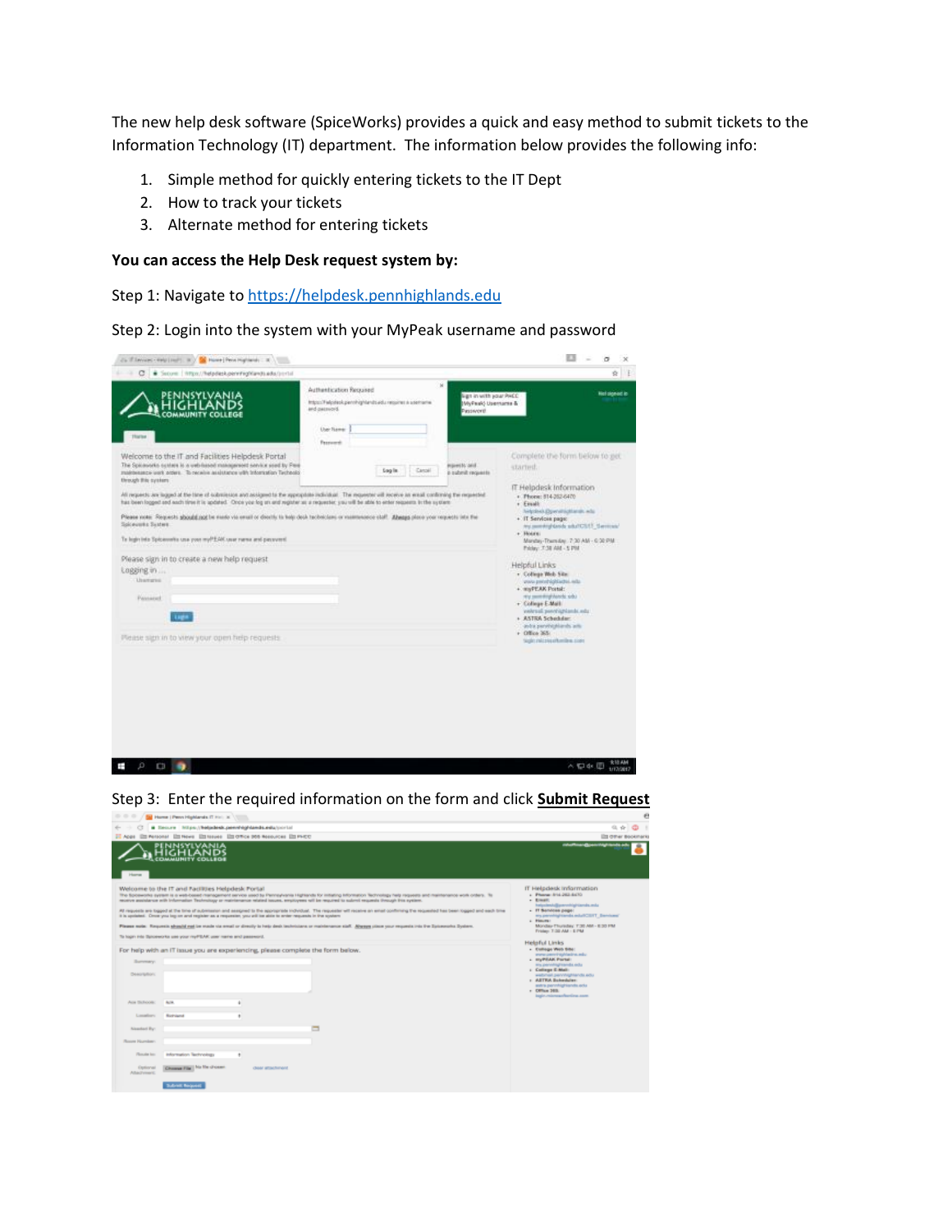The new help desk software (SpiceWorks) provides a quick and easy method to submit tickets to the Information Technology (IT) department. The information below provides the following info:

- 1. Simple method for quickly entering tickets to the IT Dept
- 2. How to track your tickets
- 3. Alternate method for entering tickets

## **You can access the Help Desk request system by:**

Step 1: Navigate t[o https://helpdesk.pennhighlands.edu](https://helpdesk.pennhighlands.edu/)

Step 2: Login into the system with your MyPeak username and password

| C . Score   https://lebriesk.penninghlands.edu/portal                                                                                                                                                                                                                                                                              |                                                                                                                                                                                                                                                                                                            | $B \parallel F$                                                                                                                                                                                                                                                                                                                                                       |
|------------------------------------------------------------------------------------------------------------------------------------------------------------------------------------------------------------------------------------------------------------------------------------------------------------------------------------|------------------------------------------------------------------------------------------------------------------------------------------------------------------------------------------------------------------------------------------------------------------------------------------------------------|-----------------------------------------------------------------------------------------------------------------------------------------------------------------------------------------------------------------------------------------------------------------------------------------------------------------------------------------------------------------------|
| OMMUNIT<br><b>Hurne</b>                                                                                                                                                                                                                                                                                                            | ×<br>Authentication Required<br>lign in with your PACC<br>ImboculFwlooleok.pennhightends.edu.requires a usemanw-<br>MyPauk) Usemante &<br><b>Brownsen</b> bref<br>Passworth<br>User Rawer<br><b>Testuardi</b>                                                                                              | <b>Not signed in</b>                                                                                                                                                                                                                                                                                                                                                  |
| Welcome to the IT and Facilities Helpdesk Portal<br>The Speciosofic custom is a unbriased management service specify Plea.<br>makesuage work prove. To newly auxiliance with Information Technolo<br>through this cycliam.                                                                                                         | <b>Inpectit/and</b><br>Canali<br><b>Sag in</b><br>a submit requests.                                                                                                                                                                                                                                       | Complete the form below to get<br>started.<br>IT Helpdesk Information                                                                                                                                                                                                                                                                                                 |
| has been looped and each time it is updated. Once you log an and register as a requester, you will be able to enter requests in the system.<br>Soloweeke Sustern<br>To legistrists Spiceworks use your myPEAK user runse and persymmi-<br>Please sign in to create a new help request<br>Logging in<br><b>Unangela</b><br>Paynared | All requests are larged at the time of submission and assigments the appropriate individual. The requester will receive an ensal conforming the requested<br>Please note: Requests should not be made via small or deaths to hole deak tacheddam or maintenance staff. Abeaps place your requests into the | - Phone: 814-262-6470<br>r Email:<br>Nelphred Elperatrichtungs, who<br>+ IT Services page:<br>And conventing dances schult CS/US (Services).<br>+ Hours:<br>Mandas-Thursday, 7:30 AM - 6:30 PM<br>Prickey: 7:38 AM - 5 PM<br><b>Helpful Links</b><br>v. College Web Sile:<br>you prohibitions out<br>+ myPEAK Portal:<br>sty monitoring heads who<br>+ College E-Mail |
| Mease sign in to view your open help requests.                                                                                                                                                                                                                                                                                     |                                                                                                                                                                                                                                                                                                            | vehraal perchiplands ods:<br>+ ASTRA Schedular:<br>andra parathighlands acti-<br>$+$ Office 365:<br>1992 and matches the class                                                                                                                                                                                                                                        |



| $- - - -$                 | Tall Home   Penn Highlands IT Hell at                                                                                                                                                                                                    |                    |                                                                                                                                                                                                                                                                                                                                                                                                                                                                                                                                                                                                                                                                                                     | e                                                                                                                                                                                                                                                   |
|---------------------------|------------------------------------------------------------------------------------------------------------------------------------------------------------------------------------------------------------------------------------------|--------------------|-----------------------------------------------------------------------------------------------------------------------------------------------------------------------------------------------------------------------------------------------------------------------------------------------------------------------------------------------------------------------------------------------------------------------------------------------------------------------------------------------------------------------------------------------------------------------------------------------------------------------------------------------------------------------------------------------------|-----------------------------------------------------------------------------------------------------------------------------------------------------------------------------------------------------------------------------------------------------|
|                           | Becure Nilps://belodesk.penvilvightends.edu/contail                                                                                                                                                                                      |                    |                                                                                                                                                                                                                                                                                                                                                                                                                                                                                                                                                                                                                                                                                                     | 近合                                                                                                                                                                                                                                                  |
|                           | IT Apps Ett Personal Ett News Ett lissues Ett Office 905 Nessucces Ett PHOD                                                                                                                                                              |                    |                                                                                                                                                                                                                                                                                                                                                                                                                                                                                                                                                                                                                                                                                                     | <b>Els driver Bookmarks</b>                                                                                                                                                                                                                         |
| <b>Harrist</b>            | PENNSYLVANIA<br><b>COMMUNITY COLLEGE</b>                                                                                                                                                                                                 |                    |                                                                                                                                                                                                                                                                                                                                                                                                                                                                                                                                                                                                                                                                                                     | colonities and parameter in colonial                                                                                                                                                                                                                |
|                           | Welcome to the IT and Facilities Helpdesk Portal<br>it is appliated. Once you log on and register as a requester, you will be able to onler requests in the system.<br>To login into Sproeworks use your reyPEAK user name and password. |                    | The Soloworks system is a web-based management service used by Pennsylvania Highlands for initiating Information Technology help requests and maintenance work orders. To<br>receive assistance with Information Technology or maintenance related locues, employees will be required to submit requests through this system.<br>All requests are topped at the time of automotive and assigned to the appropriate individual. The requester will receive an email conferring the requested has been logged and each time<br>Please suite. Requests should not be made via email or directly to help desk technicians or maintenance staff. Alreage place your requests into the Spiceworks System. | IT Helpdesk Information<br>r Phone: 814-263-6470<br>. Email:<br>helpsienhoffgannvehöghtismda.enlu<br>. IT Services page:<br>wa percentagi taroda solutiCS/IT_Barclama'<br>a Hearts<br>Monday Thursday, T.30 AM - 8:30 PM<br>Frederic T-20 AM - 8 PM |
|                           |                                                                                                                                                                                                                                          |                    |                                                                                                                                                                                                                                                                                                                                                                                                                                                                                                                                                                                                                                                                                                     | <b>Heleful Links</b>                                                                                                                                                                                                                                |
|                           | For help with an iT issue you are experiencing, please complete the form below.                                                                                                                                                          |                    |                                                                                                                                                                                                                                                                                                                                                                                                                                                                                                                                                                                                                                                                                                     | - Euloge Web Site:<br>mana permiting historic and or                                                                                                                                                                                                |
| Barrenary.                |                                                                                                                                                                                                                                          |                    |                                                                                                                                                                                                                                                                                                                                                                                                                                                                                                                                                                                                                                                                                                     | + myPEAK Partel:<br>wa permitagramata edu                                                                                                                                                                                                           |
| Description:              |                                                                                                                                                                                                                                          |                    |                                                                                                                                                                                                                                                                                                                                                                                                                                                                                                                                                                                                                                                                                                     | c College E-Mail:<br>webmail permissional liabiliti<br>r AETRA Buhmbler<br>astra parvihightands ads<br>- Office 349.<br>ingle.missagehoriza.com                                                                                                     |
| Aux Bullecole:            | Act of                                                                                                                                                                                                                                   |                    |                                                                                                                                                                                                                                                                                                                                                                                                                                                                                                                                                                                                                                                                                                     |                                                                                                                                                                                                                                                     |
| Localista                 | Romiand                                                                                                                                                                                                                                  |                    |                                                                                                                                                                                                                                                                                                                                                                                                                                                                                                                                                                                                                                                                                                     |                                                                                                                                                                                                                                                     |
| Nashari By:               |                                                                                                                                                                                                                                          |                    |                                                                                                                                                                                                                                                                                                                                                                                                                                                                                                                                                                                                                                                                                                     |                                                                                                                                                                                                                                                     |
| Room Humbert              |                                                                                                                                                                                                                                          |                    |                                                                                                                                                                                                                                                                                                                                                                                                                                                                                                                                                                                                                                                                                                     |                                                                                                                                                                                                                                                     |
| Plymouth form             | Information Technology                                                                                                                                                                                                                   |                    |                                                                                                                                                                                                                                                                                                                                                                                                                                                                                                                                                                                                                                                                                                     |                                                                                                                                                                                                                                                     |
| Optional<br>Alla Frime C. | Chappe File 1 No Shower                                                                                                                                                                                                                  | close attachinged. |                                                                                                                                                                                                                                                                                                                                                                                                                                                                                                                                                                                                                                                                                                     |                                                                                                                                                                                                                                                     |
|                           | <b>Subrett Request</b>                                                                                                                                                                                                                   |                    |                                                                                                                                                                                                                                                                                                                                                                                                                                                                                                                                                                                                                                                                                                     |                                                                                                                                                                                                                                                     |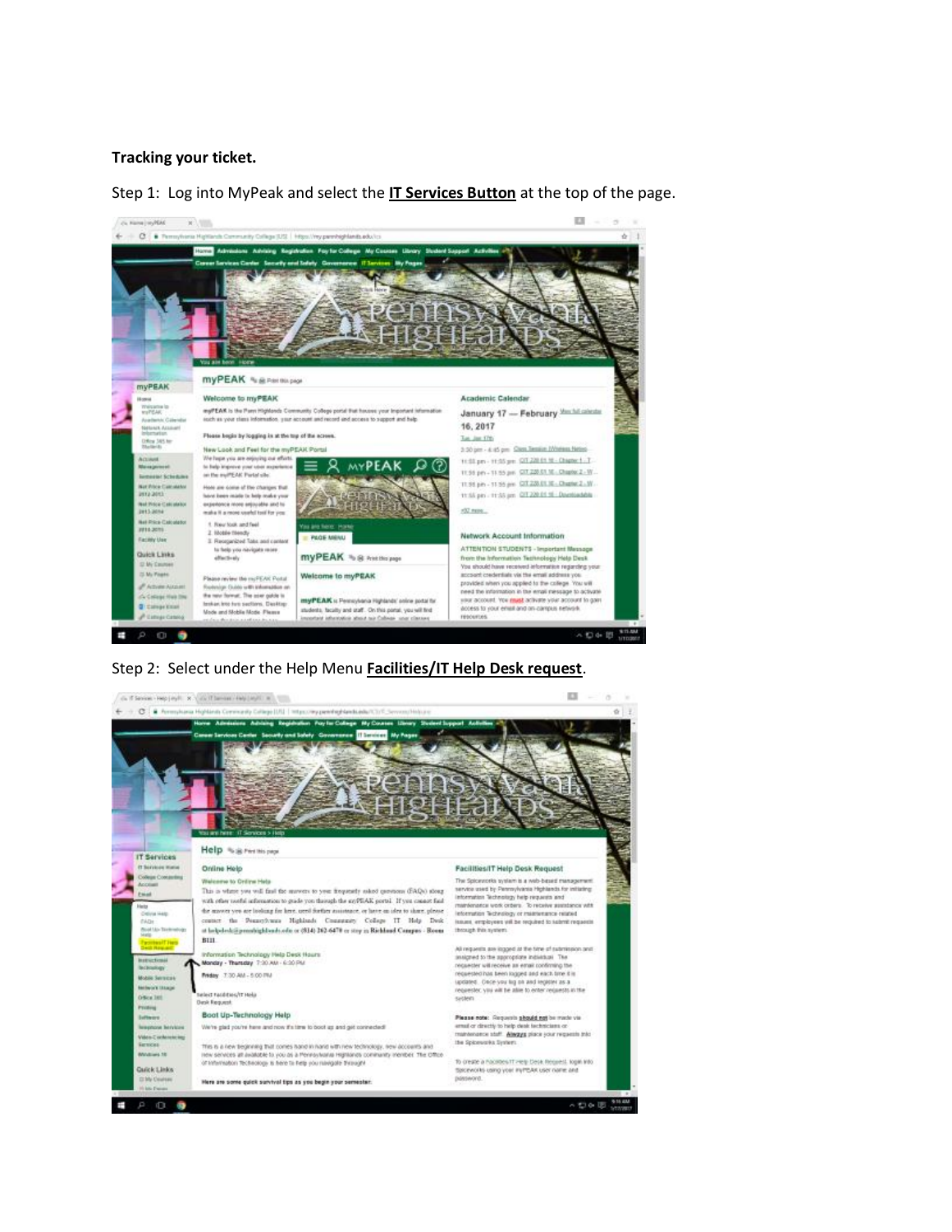#### **Tracking your ticket.**

Step 1: Log into MyPeak and select the **IT Services Button** at the top of the page.



Step 2: Select under the Help Menu **Facilities/IT Help Desk request**.

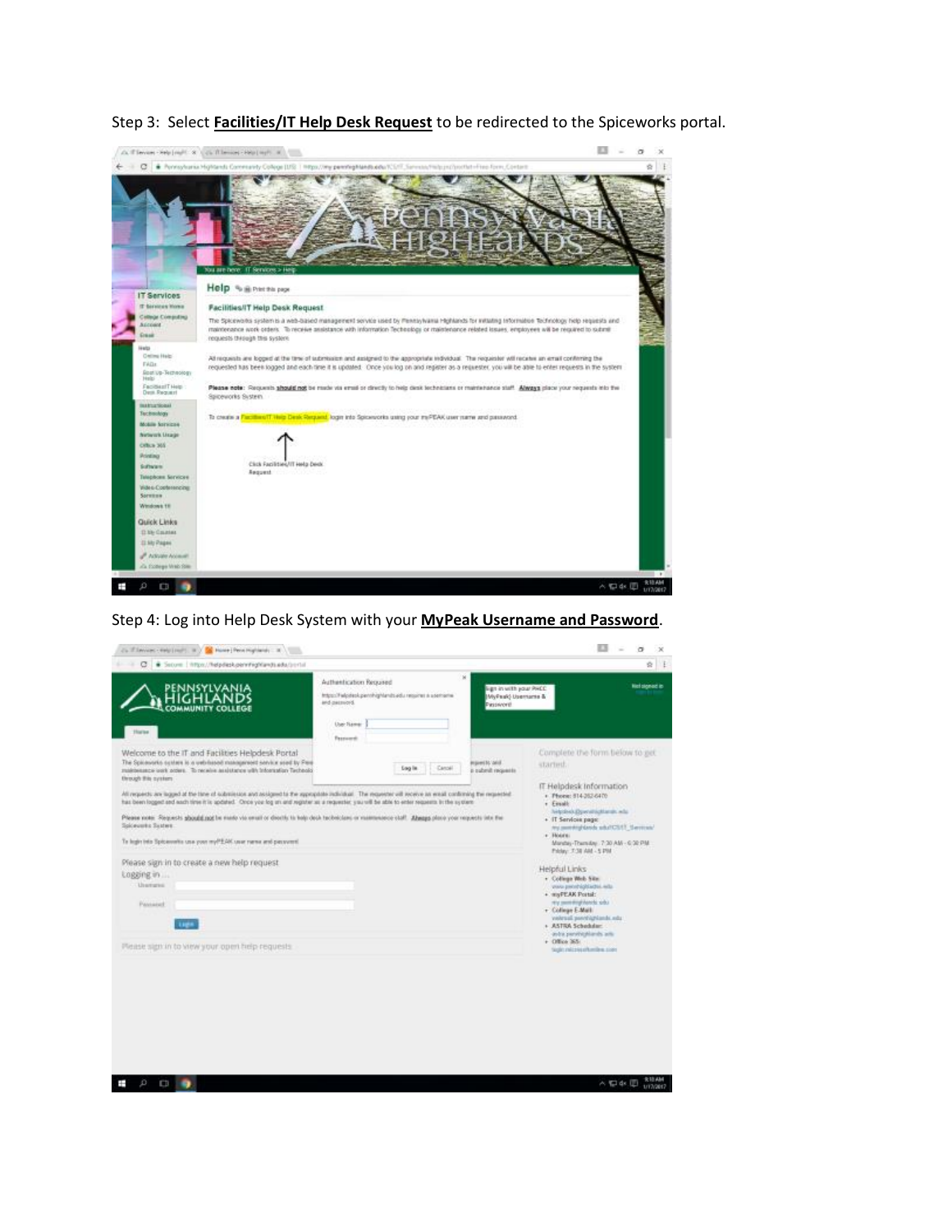

Step 3: Select **Facilities/IT Help Desk Request** to be redirected to the Spiceworks portal.

## Step 4: Log into Help Desk System with your **MyPeak Username and Password**.

| Use-Tuese<br><b>Thacker</b><br><b>Fascowd</b><br>Welcome to the IT and Facilities Helpdesk Portal<br>The Speasonic custom is a unbriased management service used by Free<br><b>Harris Green</b><br>started.<br><b>Sag in</b><br>Canoel<br>makinesses usek projes. To newly assistance with Information Technolo<br>a tubeut mounts<br>through this cycliam<br>IT Helpdesk Information<br>All requests are larged at the time of submission and assigmed to the appropriate individual. The requester will receive an ereal conforming the requested<br>r. Phone: 514-252-6470<br>has been logged and each time it is apdated. Once you log an and register as a requester, you will be able to enter requests in the system.<br>. Finall:<br>Nelpole of Elgien structure and a<br>Please note: Requests aboutd not be made via email or death; to help deck tacheclans or mannesonce staff. Abeaps place your requests into the<br>+ IT Services page:<br>Spiceworks System.<br>And meeting dately schaft CSSS (Services)<br>e Houre:<br>To legistrists Spiceswite use your myPEAK user runne and password.<br>Mandas-Thursday, 7:30 AM - 6:30 PM.<br>Prickey: 7:38 AM - 5 PM<br>Please sign in to create a new help request<br>Helpful Links<br>Logging in<br>v. College Web Site:<br><b>Unangela</b><br>you pentrighted in all.<br>+ myPEAK Portal:<br>Lés shouthlythems you<br>Paynesed<br>r College E-Mail<br>vehrual perchiplands edu-<br><b>Light</b><br>+ ASTRA Schedular:<br>aylor personalized and<br>$+$ Office 365:<br>Please sign in to view your open help requests.<br>1950 military of the picture | ×<br>Authentication Required<br>light in with your PACC.<br>Impositive competition about the physician of a state of a<br>MyPauk) Usemante &<br><b>Brownsend</b><br>Passworth | <b>Net signed is</b>           |
|-------------------------------------------------------------------------------------------------------------------------------------------------------------------------------------------------------------------------------------------------------------------------------------------------------------------------------------------------------------------------------------------------------------------------------------------------------------------------------------------------------------------------------------------------------------------------------------------------------------------------------------------------------------------------------------------------------------------------------------------------------------------------------------------------------------------------------------------------------------------------------------------------------------------------------------------------------------------------------------------------------------------------------------------------------------------------------------------------------------------------------------------------------------------------------------------------------------------------------------------------------------------------------------------------------------------------------------------------------------------------------------------------------------------------------------------------------------------------------------------------------------------------------------------------------------------------------------------------------------------|-------------------------------------------------------------------------------------------------------------------------------------------------------------------------------|--------------------------------|
|                                                                                                                                                                                                                                                                                                                                                                                                                                                                                                                                                                                                                                                                                                                                                                                                                                                                                                                                                                                                                                                                                                                                                                                                                                                                                                                                                                                                                                                                                                                                                                                                                   |                                                                                                                                                                               |                                |
|                                                                                                                                                                                                                                                                                                                                                                                                                                                                                                                                                                                                                                                                                                                                                                                                                                                                                                                                                                                                                                                                                                                                                                                                                                                                                                                                                                                                                                                                                                                                                                                                                   |                                                                                                                                                                               | Complete the form below to get |
|                                                                                                                                                                                                                                                                                                                                                                                                                                                                                                                                                                                                                                                                                                                                                                                                                                                                                                                                                                                                                                                                                                                                                                                                                                                                                                                                                                                                                                                                                                                                                                                                                   |                                                                                                                                                                               |                                |
|                                                                                                                                                                                                                                                                                                                                                                                                                                                                                                                                                                                                                                                                                                                                                                                                                                                                                                                                                                                                                                                                                                                                                                                                                                                                                                                                                                                                                                                                                                                                                                                                                   |                                                                                                                                                                               |                                |
|                                                                                                                                                                                                                                                                                                                                                                                                                                                                                                                                                                                                                                                                                                                                                                                                                                                                                                                                                                                                                                                                                                                                                                                                                                                                                                                                                                                                                                                                                                                                                                                                                   |                                                                                                                                                                               |                                |
|                                                                                                                                                                                                                                                                                                                                                                                                                                                                                                                                                                                                                                                                                                                                                                                                                                                                                                                                                                                                                                                                                                                                                                                                                                                                                                                                                                                                                                                                                                                                                                                                                   |                                                                                                                                                                               |                                |
|                                                                                                                                                                                                                                                                                                                                                                                                                                                                                                                                                                                                                                                                                                                                                                                                                                                                                                                                                                                                                                                                                                                                                                                                                                                                                                                                                                                                                                                                                                                                                                                                                   |                                                                                                                                                                               |                                |
|                                                                                                                                                                                                                                                                                                                                                                                                                                                                                                                                                                                                                                                                                                                                                                                                                                                                                                                                                                                                                                                                                                                                                                                                                                                                                                                                                                                                                                                                                                                                                                                                                   |                                                                                                                                                                               |                                |
|                                                                                                                                                                                                                                                                                                                                                                                                                                                                                                                                                                                                                                                                                                                                                                                                                                                                                                                                                                                                                                                                                                                                                                                                                                                                                                                                                                                                                                                                                                                                                                                                                   |                                                                                                                                                                               |                                |
|                                                                                                                                                                                                                                                                                                                                                                                                                                                                                                                                                                                                                                                                                                                                                                                                                                                                                                                                                                                                                                                                                                                                                                                                                                                                                                                                                                                                                                                                                                                                                                                                                   |                                                                                                                                                                               |                                |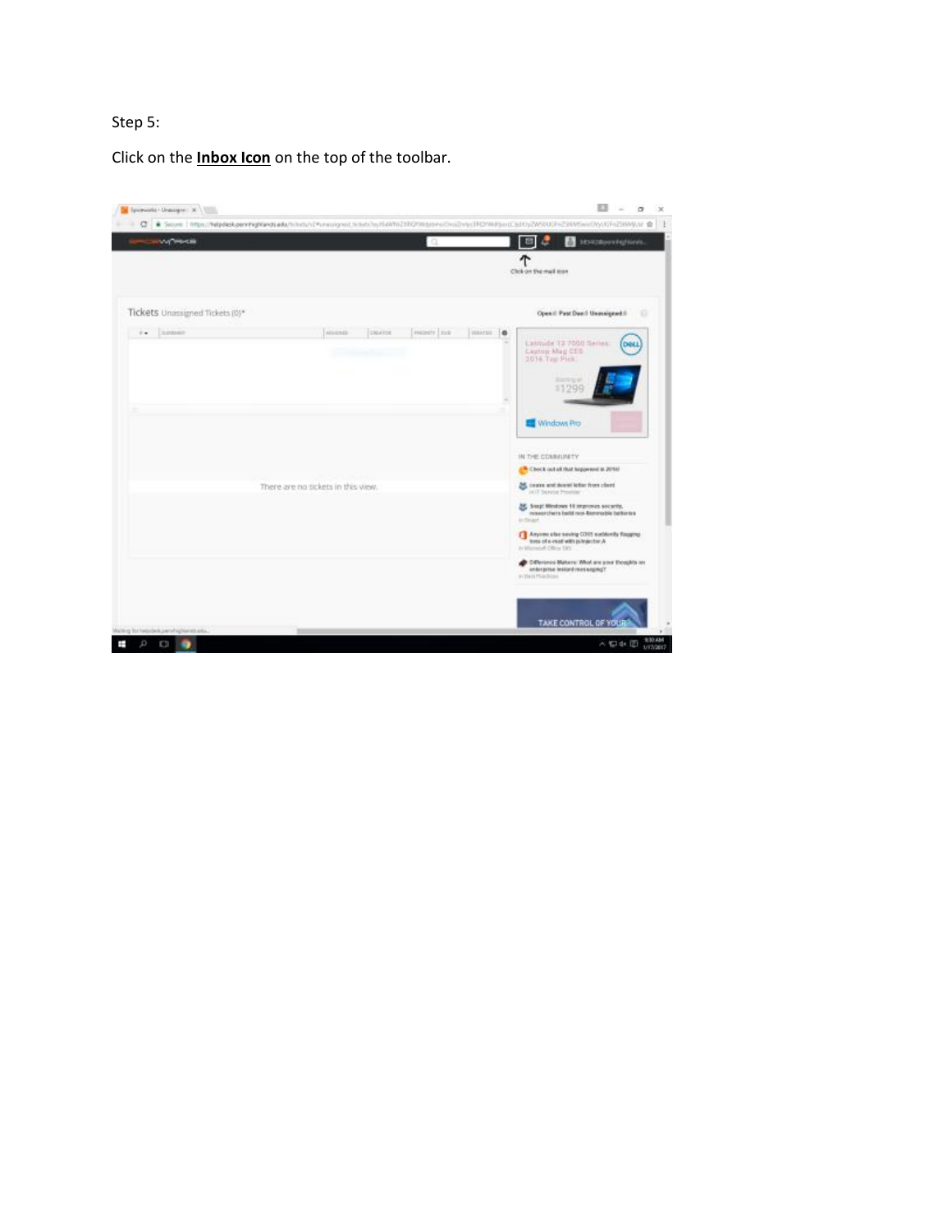# Step 5:

Click on the **Inbox Icon** on the top of the toolbar.

| <b>WYWOOD</b>                   |                                    | 10.        |               | <b>Manufacturers</b><br>Œ                                                                                           |
|---------------------------------|------------------------------------|------------|---------------|---------------------------------------------------------------------------------------------------------------------|
|                                 |                                    |            |               | Chok on the mail toon                                                                                               |
| Tickets Unissigned Tickets (0)* |                                    |            |               | Open II Past Door I Unannighed II<br>٠                                                                              |
| Elephanett<br>$\mathbb{R}$      | <b>DRAYER</b><br>AUvorda           | [mosty] ms | ESSANTEE : 10 | Listmide 13 7000 Series<br>DOLL<br>Castege Mag CEB<br>2016 Tep Pick<br>31474 p.m.<br>11299                          |
|                                 |                                    |            |               | Windows Pro                                                                                                         |
|                                 |                                    |            |               | IN THE COMMUNITY<br>E Check out all that happened at 2010.                                                          |
|                                 | There are no tickets in this view. |            |               | as cease and deand letter from client<br>in it Selvin Powcar                                                        |
|                                 |                                    |            |               | <b>ME SHIP! Wedows 18 reproves security.</b><br>researchers belld non-flammable betteries<br>in Singer              |
|                                 |                                    |            |               | F Anyone also seeing 0365 suddenly financed<br>A vehicles of a count with pulmisector A<br>in Walshell Office 1857. |
|                                 |                                    |            |               | Collectore Materic Wed are your thoughts an<br>enterprise instant messaging?<br>in Hell Produces (1970)             |
|                                 |                                    |            |               |                                                                                                                     |